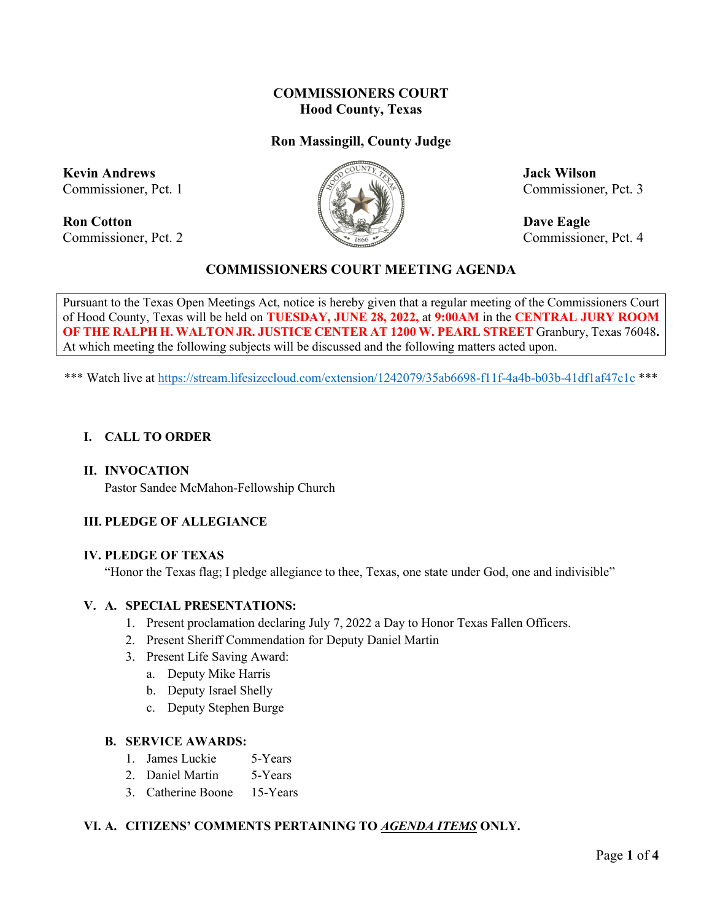# **COMMISSIONERS COURT Hood County, Texas**

# **Ron Massingill, County Judge**

**Kevin Andrews Jack Wilson** 

**Ron Cotton Dave Eagle** Commissioner, Pct. 2 Commissioner, Pct. 4



Commissioner, Pct. 1  $\mathbb{Z}^n$   $\mathbb{Z}^n$   $\mathbb{Z}^n$  Commissioner, Pct. 3

## **COMMISSIONERS COURT MEETING AGENDA**

Pursuant to the Texas Open Meetings Act, notice is hereby given that a regular meeting of the Commissioners Court of Hood County, Texas will be held on **TUESDAY, JUNE 28, 2022,** at **9:00AM** in the **CENTRAL JURY ROOM OF THE RALPH H. WALTON JR. JUSTICE CENTER AT 1200 W. PEARL STREET** Granbury, Texas 76048**.**  At which meeting the following subjects will be discussed and the following matters acted upon.

\*\*\* Watch live at<https://stream.lifesizecloud.com/extension/1242079/35ab6698-f11f-4a4b-b03b-41df1af47c1c> \*\*\*

#### **I. CALL TO ORDER**

#### **II. INVOCATION**

Pastor Sandee McMahon-Fellowship Church

## **III. PLEDGE OF ALLEGIANCE**

#### **IV. PLEDGE OF TEXAS**

"Honor the Texas flag; I pledge allegiance to thee, Texas, one state under God, one and indivisible"

#### **V. A. SPECIAL PRESENTATIONS:**

- 1. Present proclamation declaring July 7, 2022 a Day to Honor Texas Fallen Officers.
- 2. Present Sheriff Commendation for Deputy Daniel Martin
- 3. Present Life Saving Award:
	- a. Deputy Mike Harris
	- b. Deputy Israel Shelly
	- c. Deputy Stephen Burge

#### **B. SERVICE AWARDS:**

- 1. James Luckie 5-Years
- 2. Daniel Martin 5-Years
- 3. Catherine Boone 15-Years

#### **VI. A. CITIZENS' COMMENTS PERTAINING TO** *AGENDA ITEMS* **ONLY.**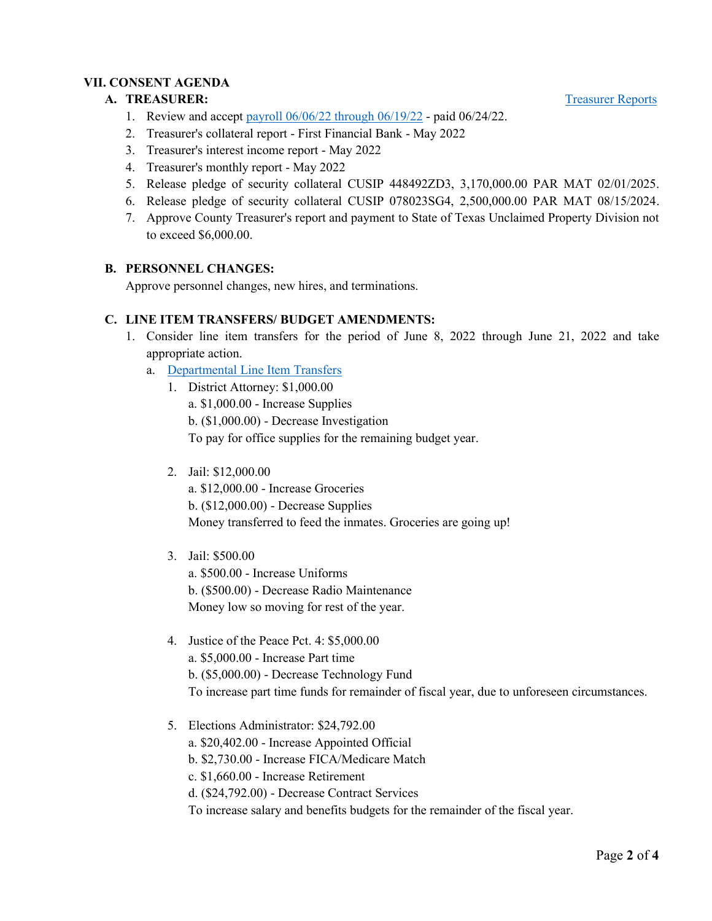## **VII. CONSENT AGENDA**

## A. **TREASURER:** [Treasurer Reports](https://cohoodtxus-my.sharepoint.com/:b:/g/personal/skiser_co_hood_tx_us/ETNz2IsBkvFKmysYkbHgANMBGRMAFBHuhqczyFfYgfiTJw?e=Nd0cYa)

- 1. Review and accept [payroll 06/06/22 through 06/19/22](https://cohoodtxus-my.sharepoint.com/:b:/g/personal/skiser_co_hood_tx_us/EY-2e61E6PtAjpC9Q2dY6tEBfsrTCUIASrqQOPB7sKpSyw?e=Q1BQMr) paid 06/24/22.
- 2. Treasurer's collateral report First Financial Bank May 2022
- 3. Treasurer's interest income report May 2022
- 4. Treasurer's monthly report May 2022
- 5. Release pledge of security collateral CUSIP 448492ZD3, 3,170,000.00 PAR MAT 02/01/2025.
- 6. Release pledge of security collateral CUSIP 078023SG4, 2,500,000.00 PAR MAT 08/15/2024.
- 7. Approve County Treasurer's report and payment to State of Texas Unclaimed Property Division not to exceed \$6,000.00.

## **B. PERSONNEL CHANGES:**

Approve personnel changes, new hires, and terminations.

### **C. LINE ITEM TRANSFERS/ BUDGET AMENDMENTS:**

- 1. Consider line item transfers for the period of June 8, 2022 through June 21, 2022 and take appropriate action.
	- a. [Departmental Line Item Transfers](https://cohoodtxus-my.sharepoint.com/:b:/g/personal/skiser_co_hood_tx_us/ERROqQ1gtUNIhGWMP96KlkIBSqGPIwAsEGpyIURpHcpeQw?e=OBWQSS)
		- 1. District Attorney: \$1,000.00 a. \$1,000.00 - Increase Supplies b. (\$1,000.00) - Decrease Investigation To pay for office supplies for the remaining budget year.
		- 2. Jail: \$12,000.00

a. \$12,000.00 - Increase Groceries b. (\$12,000.00) - Decrease Supplies Money transferred to feed the inmates. Groceries are going up!

- 3. Jail: \$500.00 a. \$500.00 - Increase Uniforms b. (\$500.00) - Decrease Radio Maintenance Money low so moving for rest of the year.
- 4. Justice of the Peace Pct. 4: \$5,000.00 a. \$5,000.00 - Increase Part time b. (\$5,000.00) - Decrease Technology Fund To increase part time funds for remainder of fiscal year, due to unforeseen circumstances.
- 5. Elections Administrator: \$24,792.00 a. \$20,402.00 - Increase Appointed Official b. \$2,730.00 - Increase FICA/Medicare Match c. \$1,660.00 - Increase Retirement d. (\$24,792.00) - Decrease Contract Services To increase salary and benefits budgets for the remainder of the fiscal year.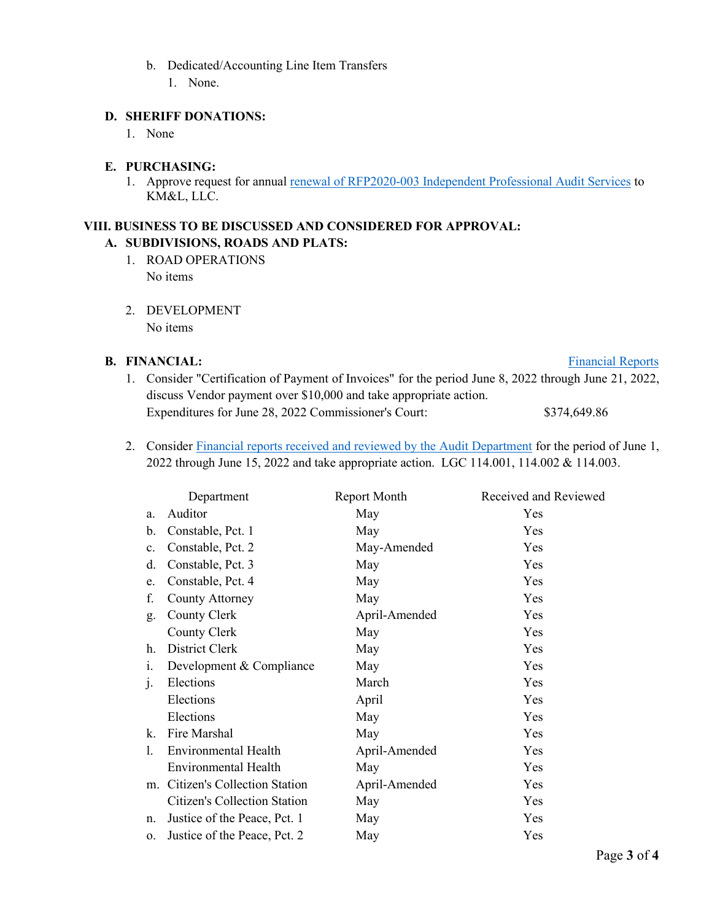- b. Dedicated/Accounting Line Item Transfers
	- 1. None.

## **D. SHERIFF DONATIONS:**

1. None

### **E. PURCHASING:**

1. Approve request for annual [renewal of RFP2020-003 Independent Professional Audit Services](https://cohoodtxus-my.sharepoint.com/:b:/g/personal/skiser_co_hood_tx_us/EbhlaVv1omJFrrlzdamS05ABKmEgwsGuzJ6OCkPH2LXFig?e=C8osXM) to KM&L, LLC.

## **VIII. BUSINESS TO BE DISCUSSED AND CONSIDERED FOR APPROVAL: A. SUBDIVISIONS, ROADS AND PLATS:**

- 1. ROAD OPERATIONS No items
- 2. DEVELOPMENT No items

## **B.** FINANCIAL: [Financial Reports](https://cohoodtxus-my.sharepoint.com/:f:/g/personal/skiser_co_hood_tx_us/EqKBGhWlCwhNsciXJxkFCVsBs8JhLRHw_5lrCUpQO534GA?e=WnA2yU)

# 1. Consider "Certification of Payment of Invoices" for the period June 8, 2022 through June 21, 2022, discuss Vendor payment over \$10,000 and take appropriate action. Expenditures for June 28, 2022 Commissioner's Court: \$374,649.86

2. Consider [Financial reports received and reviewed by the Audit Department](https://cohoodtxus-my.sharepoint.com/:b:/g/personal/skiser_co_hood_tx_us/EbvG29Y0i71Kvtw6_m0QbS0B_6abZsZPKGQjRF_sLROaXQ?e=B2g8SU) for the period of June 1, 2022 through June 15, 2022 and take appropriate action. LGC 114.001, 114.002 & 114.003.

|                | Department                          | Report Month  | Received and Reviewed |
|----------------|-------------------------------------|---------------|-----------------------|
| a.             | Auditor                             | May           | Yes                   |
| $\mathbf b$ .  | Constable, Pct. 1                   | May           | Yes                   |
| $\mathbf{c}$ . | Constable, Pct. 2                   | May-Amended   | Yes                   |
| d.             | Constable, Pct. 3                   | May           | Yes                   |
| e.             | Constable, Pct. 4                   | May           | Yes                   |
| f.             | <b>County Attorney</b>              | May           | Yes                   |
| g.             | County Clerk                        | April-Amended | Yes                   |
|                | County Clerk                        | May           | Yes                   |
| h.             | District Clerk                      | May           | Yes                   |
| 1.             | Development & Compliance            | May           | Yes                   |
| $\mathbf{1}$   | Elections                           | March         | Yes                   |
|                | Elections                           | April         | Yes                   |
|                | Elections                           | May           | Yes                   |
| k.             | Fire Marshal                        | May           | Yes                   |
| 1.             | Environmental Health                | April-Amended | Yes                   |
|                | Environmental Health                | May           | Yes                   |
|                | m. Citizen's Collection Station     | April-Amended | Yes                   |
|                | <b>Citizen's Collection Station</b> | May           | Yes                   |
| n.             | Justice of the Peace, Pct. 1        | May           | Yes                   |
| 0.             | Justice of the Peace, Pct. 2        | May           | Yes                   |